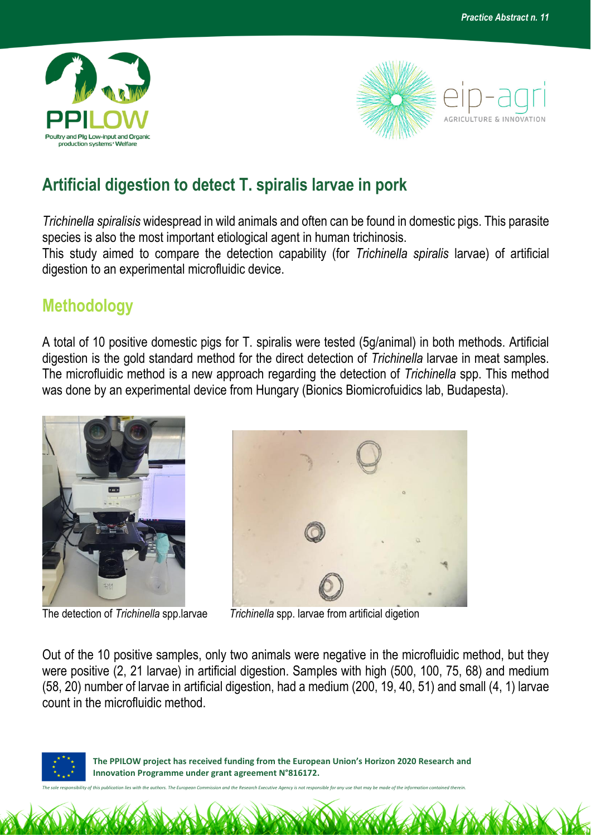



## **Artificial digestion to detect T. spiralis larvae in pork**

*Trichinella spiralisis* widespread in wild animals and often can be found in domestic pigs. This parasite species is also the most important etiological agent in human trichinosis.

This study aimed to compare the detection capability (for *Trichinella spiralis* larvae) of artificial digestion to an experimental microfluidic device.

## **Methodology**

A total of 10 positive domestic pigs for T. spiralis were tested (5g/animal) in both methods. Artificial digestion is the gold standard method for the direct detection of *Trichinella* larvae in meat samples. The microfluidic method is a new approach regarding the detection of *Trichinella* spp. This method was done by an experimental device from Hungary (Bionics Biomicrofuidics lab, Budapesta).



The detection of Trichinella spp.larvae



**Trichinella spp. larvae from artificial digetion** 

Out of the 10 positive samples, only two animals were negative in the microfluidic method, but they were positive (2, 21 larvae) in artificial digestion. Samples with high (500, 100, 75, 68) and medium (58, 20) number of larvae in artificial digestion, had a medium (200, 19, 40, 51) and small (4, 1) larvae count in the microfluidic method.



 **The PPILOW project has received funding from the European Union's Horizon 2020 Research and Innovation Programme under grant agreement N°816172.**

*The sole responsibility of this publication lies with the authors. The European Commission and the Research Executive Agency is not responsible for any use that may be made of the information contained therein.*